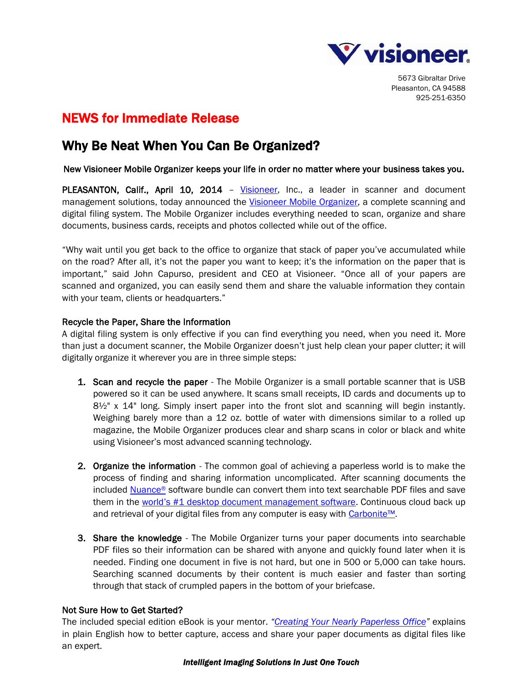

5673 Gibraltar Drive Pleasanton, CA 94588 925-251-6350

# NEWS for Immediate Release

## Why Be Neat When You Can Be Organized?

### New Visioneer Mobile Organizer keeps your life in order no matter where your business takes you.

PLEASANTON, Calif., April 10, 2014 - [Visioneer,](http://www.visioneer.com/) Inc., a leader in scanner and document management solutions, today announced the [Visioneer Mobile Organizer,](http://www.visioneer.com/products/item.asp?PN=MO) a complete scanning and digital filing system. The Mobile Organizer includes everything needed to scan, organize and share documents, business cards, receipts and photos collected while out of the office.

"Why wait until you get back to the office to organize that stack of paper you've accumulated while on the road? After all, it's not the paper you want to keep; it's the information on the paper that is important," said John Capurso, president and CEO at Visioneer. "Once all of your papers are scanned and organized, you can easily send them and share the valuable information they contain with your team, clients or headquarters."

## Recycle the Paper, Share the Information

A digital filing system is only effective if you can find everything you need, when you need it. More than just a document scanner, the Mobile Organizer doesn't just help clean your paper clutter; it will digitally organize it wherever you are in three simple steps:

- **1. Scan and recycle the paper** The Mobile Organizer is a small portable scanner that is USB powered so it can be used anywhere. It scans small receipts, ID cards and documents up to  $8\frac{1}{2}$ " x 14" long. Simply insert paper into the front slot and scanning will begin instantly. Weighing barely more than a 12 oz. bottle of water with dimensions similar to a rolled up magazine, the Mobile Organizer produces clear and sharp scans in color or black and white using Visioneer's most advanced scanning technology.
- 2. Organize the information The common goal of achieving a paperless world is to make the process of finding and sharing information uncomplicated. After scanning documents the included [Nuance](http://www.nuance.com/for-individuals/by-solution/document-management/index.htm)® software bundle can convert them into text searchable PDF files and save them in the [world's #1 desktop document management software](http://www.nuance.com/for-business/by-product/paperport/standard/index.htm). Continuous cloud back up and retrieval of your digital files from any computer is easy with [Carbonite™](http://www.carbonite.com/).
- 3. Share the knowledge The Mobile Organizer turns your paper documents into searchable PDF files so their information can be shared with anyone and quickly found later when it is needed. Finding one document in five is not hard, but one in 500 or 5,000 can take hours. Searching scanned documents by their content is much easier and faster than sorting through that stack of crumpled papers in the bottom of your briefcase.

## Not Sure How to Get Started?

The included special edition eBook is your mentor. *"Creating Your [Nearly Paperless Office](http://www.amazon.com/Creating-Your-Nearly-Paperless-Office-ebook/dp/B00D50GSDU/ref=sr_1_2?ie=UTF8&qid=1390163031&sr=8-2&keywords=creating+your+nearly+paperless+office)"* explains in plain English how to better capture, access and share your paper documents as digital files like an expert.

#### *Intelligent Imaging Solutions In Just One Touch*